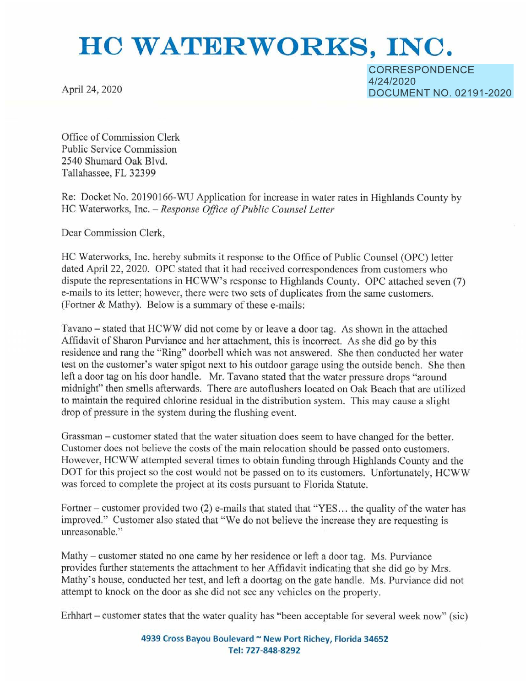# **HC WATERWORKS, INC.**

April 24, 2020

CORRESPONDENCE 4/24/2020 DOCUMENT NO. 02191-2020

Office of Commission Clerk Public Service Commission 2540 Shumard Oak Blvd. Tallahassee, FL 32399

Re: Docket No. 20190166-WU Application for increase in water rates in Highlands County by HC Waterworks, Inc. - *Response Office of Public Counsel Letter* 

Dear Commission Clerk,

HC Waterworks, Inc. hereby submits it response to the Office of Public Counsel (OPC) letter dated April 22, 2020. OPC stated that it had received correspondences from customers who dispute the representations in HCWW's response to Highlands County. OPC attached seven (7) e-mails to its letter; however, there were two sets of duplicates from the same customers. (Fortner & Mathy). Below is a summary of these e-mails:

Tavano - stated that HCWW did not come by or leave a door tag. As shown in the attached Affidavit of Sharon Purviance and her attachment, this is incorrect. As she did go by this residence and rang the "Ring" doorbell which was not answered. She then conducted her water test on the customer's water spigot next to his outdoor garage using the outside bench. She then left a door tag on his door handle. Mr. Tavano stated that the water pressure drops "around midnight" then smells afterwards. There are autoflushers located on Oak Beach that are utilized to maintain the required chlorine residual in the distribution system. This may cause a slight drop of pressure in the system during the flushing event.

Grassman – customer stated that the water situation does seem to have changed for the better. Customer does not believe the costs of the main relocation should be passed onto customers. However, HCWW attempted several times to obtain funding through Highlands County and the DOT for this project so the cost would not be passed on to its customers. Unfortunately. HCWW was forced to complete the project at its costs pursuant to Florida Statute.

Fortner – customer provided two (2) e-mails that stated that "YES... the quality of the water has improved." Customer also stated that "We do not believe the increase they are requesting is unreasonable."

Mathy – customer stated no one came by her residence or left a door tag. Ms. Purviance provides further statements the attachment to her Affidavit indicating that she did go by Mrs. Mathy's house, conducted her test, and left a doortag on the gate handle. Ms. Purviance did not attempt to knock on the door as she did not see any vehicles on the property.

Erhhart – customer states that the water quality has "been acceptable for several week now" (sic)

**4939 Cross Bayou Boulevard** - **New Port Richey, Florida 34652 Tel: 727-848-8292**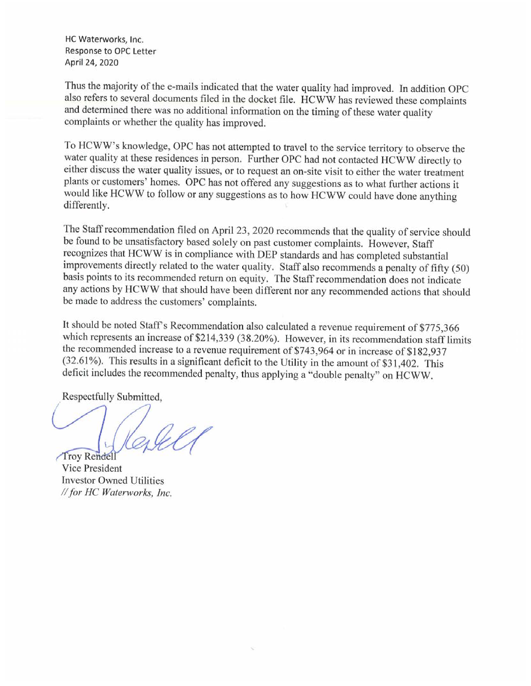HC Waterworks, Inc. Response to OPC Letter April 24, 2020

Thus the majority of the e-mails indicated that the water quality had improved. In addition OPC also refers to several documents filed in the docket file. HCWW has reviewed these complaints and determined there was no addi complaints or whether the quality has improved.

To HCWW's knowledge, OPC has not attempted to travel to the service territory to observe the water quality at these residences in person. Further OPC had not contacted HCWW directly to either discuss the water quality issues, or to request an on-site visit to either the water treatment <sup>p</sup>lants or customers' homes. OPC has not offered any suggestions as to what further actions it would like HCWW to follow or any suggestions as to how HCWW could have done anything differently.

The Staff recommendation filed on April 23, 2020 recommends that the quality of service should be found to be unsatisfactory based solely on past customer complaints. However, Staff recognizes that HCWW is in compliance wi improvements directly related to the water quality. Staff also recommends a penalty of fifty (50) basis points to its recommended return on equity. The Staff recommendation does not indicate any actions by HCWW that should have been different nor any recommended actions that should be made to address the customers' complaints.

It should be noted Staff's Recommendation also calculated a revenue requirement of \$775,366 which represents an increase of \$214,339 (38.20%). However, in its recommendation staff limits the recommended increase to a reven  $(32.61\%)$ . This results in a significant deficit to the Utility in the amount of \$31,402. This deficit includes the recommended penalty, thus applying a "double penalty" on HCWW.

Respectfully Submitted,

Troy Rendell

Vice President **Investor Owned Utilities** *II for HC Waterworks, Inc.*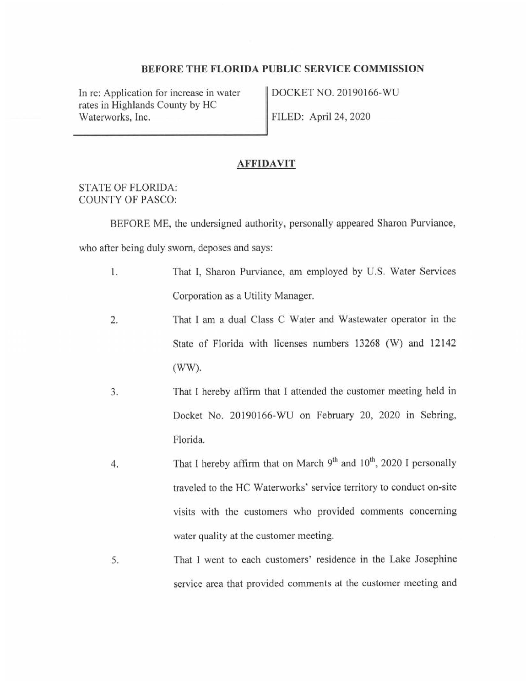## **BEFORE THE FLORIDA PUBLIC SERVICE COMMISSION**

In re: Application for increase in water rates in Highlands County by HC Waterworks, Inc.

DOCKET NO. 20190166-WU FILED: April 24, 2020

#### **AFFIDAVIT**

## STATE OF FLORIDA: COUNTY OF PASCO:

BEFORE ME, the undersigned authority, personally appeared Sharon Purviance,

who after being duly sworn, deposes and says:

- 1. That I, Sharon Purviance, am employed by U.S. Water Services Corporation as a Utility Manager.
- 2. That I am a dual Class C Water and Wastewater operator in the State of Florida with licenses numbers 13268 (W) and 12142 (WW).
- 3. That I hereby affirm that I attended the customer meeting held in Docket No. 20190166-WU on February 20, 2020 in Sebring, Florida.
- 4. That I hereby affirm that on March 9<sup>th</sup> and 10<sup>th</sup>, 2020 I personally traveled to the HC Waterworks' service territory to conduct on-site visits with the customers who provided comments concerning water quality at the customer meeting.
- 5. That I went to each customers' residence in the Lake Josephine service area that provided comments at the customer meeting and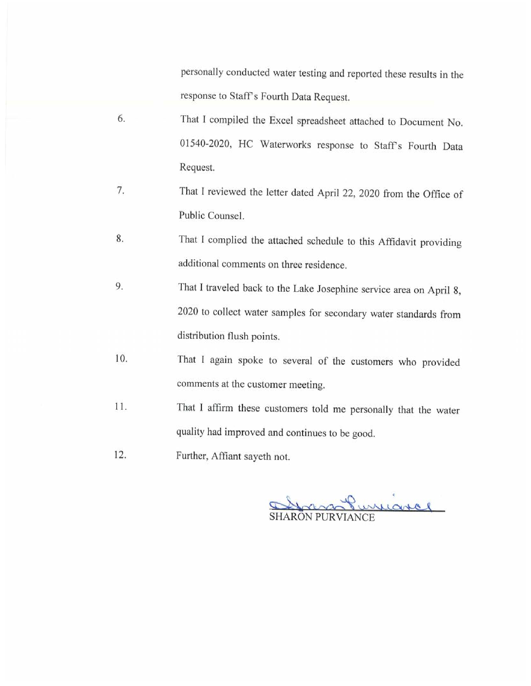personally conducted water testing and reported these results in the response to Staff's Fourth Data Request.

- 6. That I compiled the Excel spreadsheet attached to Document No. 01540-2020, HC Waterworks response to Stafrs Fourth Data Request.
- 7. That I reviewed the letter dated April 22, 2020 from the Office of Public Counsel.
- 8. That J complied the attached schedule to this Affidavit providing additional comments on three residence.
- 9. That I traveled back to the Lake Josephine service area on April 8, 2020 to collect water samples for secondary water standards from distribution flush points.
- 10. That I again spoke to several of the customers who provided comments at the customer meeting.
- 11. That I affirm these customers told me personally that the water quality had improved and continues to be good.
- 12. Further, Affiant sayeth not.

Grass Purniarce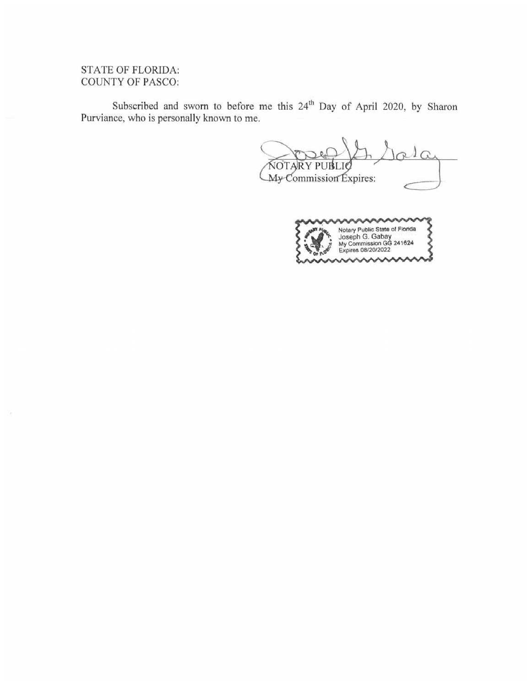# STATE OF FLORIDA: COUNTY OF PASCO:

 $\tilde{\mathcal{C}}$ 

Subscribed and sworn to before me this 24<sup>th</sup> Day of April 2020, by Sharon Purviance, who is personally known to me.

**NOTARY PUBL** My Commission Expires: